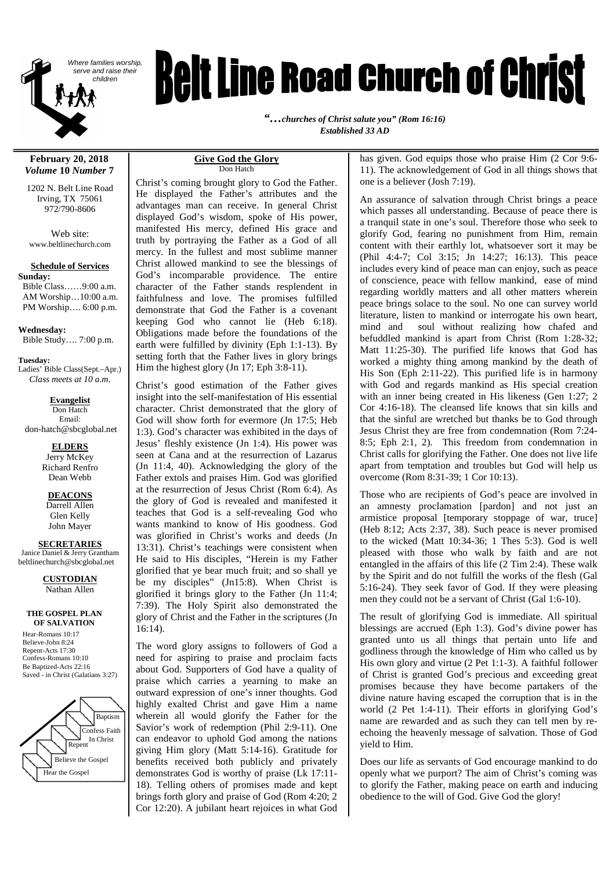

# *Belt Line Road Church of Christ*

*"…churches of Christ salute you" (Rom 16:16) Established 33 AD*

**February 20, 2018** *Volume* **10** *Number* **7**

1202 N. Belt Line Road Irving, TX 75061 972/790-8606

Web site: www.beltlinechurch.com

#### **Schedule of Services Sunday:**

Bible Class……9:00 a.m. AM Worship…10:00 a.m. PM Worship…. 6:00 p.m.

**Wednesday:** Bible Study…. 7:00 p.m.

**Tuesday:** Ladies' Bible Class(Sept.–Apr.) *Class meets at 10 a.m.*

**Evangelist** Don Hatch Email: don-hatch@sbcglobal.net

> **ELDERS** Jerry McKey Richard Renfro Dean Webb

**DEACONS** Darrell Allen

Glen Kelly John Mayer

**SECRETARIES** Janice Daniel & Jerry Grantham beltlinechurch@sbcglobal.net

> **CUSTODIAN** Nathan Allen

#### **THE GOSPEL PLAN OF SALVATION**

Hear-Romans 10:17 Believe-John 8:24 Repent-Acts 17:30 Confess-Romans 10:10 Be Baptized-Acts 22:16 Saved - in Christ (Galatians 3:27)



#### **Give God the Glory** Don Hatch

Christ's coming brought glory to God the Father. He displayed the Father's attributes and the advantages man can receive. In general Christ displayed God's wisdom, spoke of His power, manifested His mercy, defined His grace and truth by portraying the Father as a God of all mercy. In the fullest and most sublime manner Christ allowed mankind to see the blessings of God's incomparable providence. The entire character of the Father stands resplendent in faithfulness and love. The promises fulfilled demonstrate that God the Father is a covenant keeping God who cannot lie (Heb 6:18). Obligations made before the foundations of the earth were fulfilled by divinity (Eph 1:1-13). By setting forth that the Father lives in glory brings Him the highest glory (Jn 17; Eph 3:8-11).

Christ's good estimation of the Father gives insight into the self-manifestation of His essential character. Christ demonstrated that the glory of God will show forth for evermore (Jn 17:5; Heb 1:3). God's character was exhibited in the days of Jesus' fleshly existence (Jn 1:4). His power was seen at Cana and at the resurrection of Lazarus (Jn 11:4, 40). Acknowledging the glory of the Father extols and praises Him. God was glorified at the resurrection of Jesus Christ (Rom 6:4). As the glory of God is revealed and manifested it teaches that God is a self-revealing God who wants mankind to know of His goodness. God was glorified in Christ's works and deeds (Jn 13:31). Christ's teachings were consistent when He said to His disciples, "Herein is my Father glorified that ye bear much fruit; and so shall ye be my disciples" (Jn15:8). When Christ is glorified it brings glory to the Father (Jn 11:4; 7:39). The Holy Spirit also demonstrated the glory of Christ and the Father in the scriptures (Jn 16:14).

The word glory assigns to followers of God a need for aspiring to praise and proclaim facts about God. Supporters of God have a quality of praise which carries a yearning to make an outward expression of one's inner thoughts. God highly exalted Christ and gave Him a name wherein all would glorify the Father for the Savior's work of redemption (Phil 2:9-11). One can endeavor to uphold God among the nations giving Him glory (Matt 5:14-16). Gratitude for benefits received both publicly and privately demonstrates God is worthy of praise (Lk 17:11- 18). Telling others of promises made and kept brings forth glory and praise of God (Rom 4:20; 2 Cor 12:20). A jubilant heart rejoices in what God

has given. God equips those who praise Him (2 Cor 9:6- 11). The acknowledgement of God in all things shows that one is a believer (Josh 7:19).

An assurance of salvation through Christ brings a peace which passes all understanding. Because of peace there is a tranquil state in one's soul. Therefore those who seek to glorify God, fearing no punishment from Him, remain content with their earthly lot, whatsoever sort it may be (Phil 4:4-7; Col 3:15; Jn 14:27; 16:13). This peace includes every kind of peace man can enjoy, such as peace of conscience, peace with fellow mankind, ease of mind regarding worldly matters and all other matters wherein peace brings solace to the soul. No one can survey world literature, listen to mankind or interrogate his own heart, mind and soul without realizing how chafed and befuddled mankind is apart from Christ (Rom 1:28-32; Matt 11:25-30). The purified life knows that God has worked a mighty thing among mankind by the death of His Son (Eph 2:11-22). This purified life is in harmony with God and regards mankind as His special creation with an inner being created in His likeness (Gen 1:27; 2 Cor 4:16-18). The cleansed life knows that sin kills and that the sinful are wretched but thanks be to God through Jesus Christ they are free from condemnation (Rom 7:24- 8:5; Eph 2:1, 2). This freedom from condemnation in Christ calls for glorifying the Father. One does not live life apart from temptation and troubles but God will help us overcome (Rom 8:31-39; 1 Cor 10:13).

Those who are recipients of God's peace are involved in an amnesty proclamation [pardon] and not just an armistice proposal [temporary stoppage of war, truce] (Heb 8:12; Acts 2:37, 38). Such peace is never promised to the wicked (Matt 10:34-36; 1 Thes 5:3). God is well pleased with those who walk by faith and are not entangled in the affairs of this life (2 Tim 2:4). These walk by the Spirit and do not fulfill the works of the flesh (Gal 5:16-24). They seek favor of God. If they were pleasing men they could not be a servant of Christ (Gal 1:6-10).

The result of glorifying God is immediate. All spiritual blessings are accrued (Eph 1:3). God's divine power has granted unto us all things that pertain unto life and godliness through the knowledge of Him who called us by His own glory and virtue (2 Pet 1:1-3). A faithful follower of Christ is granted God's precious and exceeding great promises because they have become partakers of the divine nature having escaped the corruption that is in the world (2 Pet 1:4-11). Their efforts in glorifying God's name are rewarded and as such they can tell men by reechoing the heavenly message of salvation. Those of God yield to Him.

Does our life as servants of God encourage mankind to do openly what we purport? The aim of Christ's coming was to glorify the Father, making peace on earth and inducing obedience to the will of God. Give God the glory!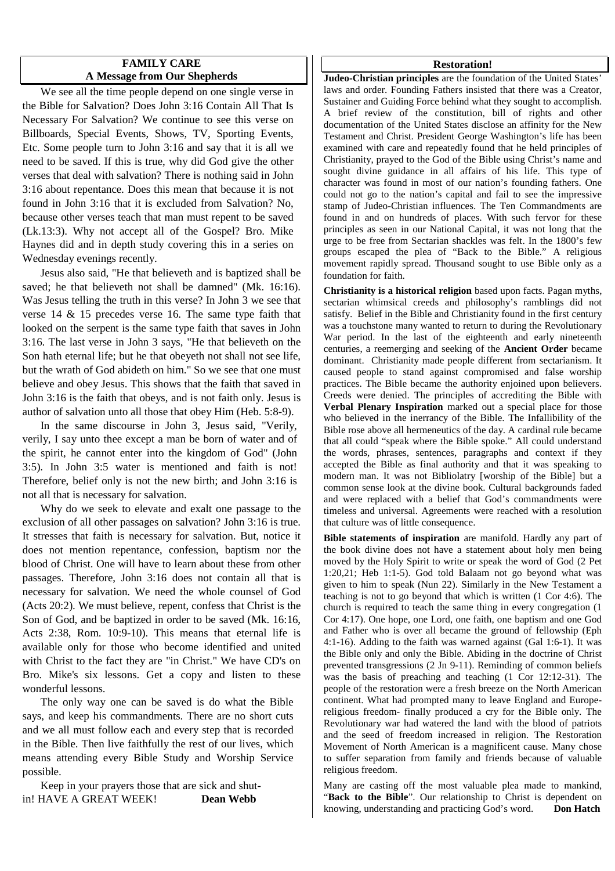# **FAMILY CARE A Message from Our Shepherds**

We see all the time people depend on one single verse in the Bible for Salvation? Does John 3:16 Contain All That Is Necessary For Salvation? We continue to see this verse on Billboards, Special Events, Shows, TV, Sporting Events, Etc. Some people turn to John 3:16 and say that it is all we need to be saved. If this is true, why did God give the other verses that deal with salvation? There is nothing said in John 3:16 about repentance. Does this mean that because it is not found in John 3:16 that it is excluded from Salvation? No, because other verses teach that man must repent to be saved (Lk.13:3). Why not accept all of the Gospel? Bro. Mike Haynes did and in depth study covering this in a series on Wednesday evenings recently.

Jesus also said, "He that believeth and is baptized shall be saved; he that believeth not shall be damned" (Mk. 16:16). Was Jesus telling the truth in this verse? In John 3 we see that verse 14 & 15 precedes verse 16. The same type faith that looked on the serpent is the same type faith that saves in John 3:16. The last verse in John 3 says, "He that believeth on the Son hath eternal life; but he that obeyeth not shall not see life, but the wrath of God abideth on him." So we see that one must believe and obey Jesus. This shows that the faith that saved in John 3:16 is the faith that obeys, and is not faith only. Jesus is author of salvation unto all those that obey Him (Heb. 5:8-9).

In the same discourse in John 3, Jesus said, "Verily, verily, I say unto thee except a man be born of water and of the spirit, he cannot enter into the kingdom of God" (John 3:5). In John 3:5 water is mentioned and faith is not! Therefore, belief only is not the new birth; and John 3:16 is not all that is necessary for salvation.

Why do we seek to elevate and exalt one passage to the exclusion of all other passages on salvation? John 3:16 is true. It stresses that faith is necessary for salvation. But, notice it does not mention repentance, confession, baptism nor the blood of Christ. One will have to learn about these from other passages. Therefore, John 3:16 does not contain all that is necessary for salvation. We need the whole counsel of God (Acts 20:2). We must believe, repent, confess that Christ is the Son of God, and be baptized in order to be saved (Mk. 16:16, Acts 2:38, Rom. 10:9-10). This means that eternal life is available only for those who become identified and united with Christ to the fact they are "in Christ." We have CD's on Bro. Mike's six lessons. Get a copy and listen to these wonderful lessons.

The only way one can be saved is do what the Bible says, and keep his commandments. There are no short cuts and we all must follow each and every step that is recorded in the Bible. Then live faithfully the rest of our lives, which means attending every Bible Study and Worship Service possible.

Keep in your prayers those that are sick and shutin! HAVE A GREAT WEEK! **Dean Webb**

#### **Restoration!**

**Judeo-Christian principles** are the foundation of the United States' laws and order. Founding Fathers insisted that there was a Creator, Sustainer and Guiding Force behind what they sought to accomplish. A brief review of the constitution, bill of rights and other documentation of the United States disclose an affinity for the New Testament and Christ. President George Washington's life has been examined with care and repeatedly found that he held principles of Christianity, prayed to the God of the Bible using Christ's name and sought divine guidance in all affairs of his life. This type of character was found in most of our nation's founding fathers. One could not go to the nation's capital and fail to see the impressive stamp of Judeo-Christian influences. The Ten Commandments are found in and on hundreds of places. With such fervor for these principles as seen in our National Capital, it was not long that the urge to be free from Sectarian shackles was felt. In the 1800's few groups escaped the plea of "Back to the Bible." A religious movement rapidly spread. Thousand sought to use Bible only as a foundation for faith.

**Christianity is a historical religion** based upon facts. Pagan myths, sectarian whimsical creeds and philosophy's ramblings did not satisfy. Belief in the Bible and Christianity found in the first century was a touchstone many wanted to return to during the Revolutionary War period. In the last of the eighteenth and early nineteenth centuries, a reemerging and seeking of the **Ancient Order** became dominant. Christianity made people different from sectarianism. It caused people to stand against compromised and false worship practices. The Bible became the authority enjoined upon believers. Creeds were denied. The principles of accrediting the Bible with **Verbal Plenary Inspiration** marked out a special place for those who believed in the inerrancy of the Bible. The Infallibility of the Bible rose above all hermeneutics of the day. A cardinal rule became that all could "speak where the Bible spoke." All could understand the words, phrases, sentences, paragraphs and context if they accepted the Bible as final authority and that it was speaking to modern man. It was not Bibliolatry [worship of the Bible] but a common sense look at the divine book. Cultural backgrounds faded and were replaced with a belief that God's commandments were timeless and universal. Agreements were reached with a resolution that culture was of little consequence.

**Bible statements of inspiration** are manifold. Hardly any part of the book divine does not have a statement about holy men being moved by the Holy Spirit to write or speak the word of God (2 Pet 1:20,21; Heb 1:1-5). God told Balaam not go beyond what was given to him to speak (Nun 22). Similarly in the New Testament a teaching is not to go beyond that which is written (1 Cor 4:6). The church is required to teach the same thing in every congregation (1 Cor 4:17). One hope, one Lord, one faith, one baptism and one God and Father who is over all became the ground of fellowship (Eph 4:1-16). Adding to the faith was warned against (Gal 1:6-1). It was the Bible only and only the Bible. Abiding in the doctrine of Christ prevented transgressions (2 Jn 9-11). Reminding of common beliefs was the basis of preaching and teaching (1 Cor 12:12-31). The people of the restoration were a fresh breeze on the North American continent. What had prompted many to leave England and Europereligious freedom- finally produced a cry for the Bible only. The Revolutionary war had watered the land with the blood of patriots and the seed of freedom increased in religion. The Restoration Movement of North American is a magnificent cause. Many chose to suffer separation from family and friends because of valuable religious freedom.

Many are casting off the most valuable plea made to mankind, "**Back to the Bible**". Our relationship to Christ is dependent on knowing, understanding and practicing God's word. **Don Hatch**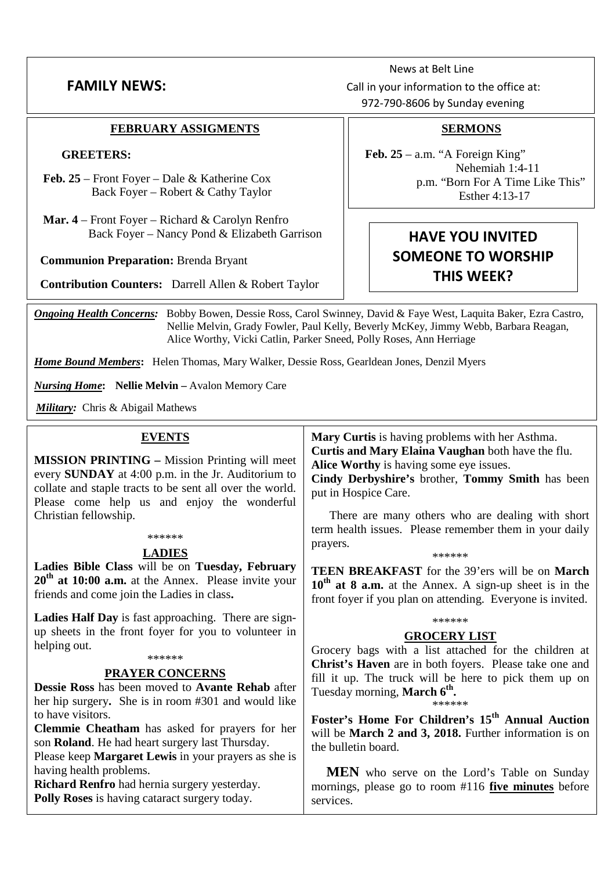# **FAMILY NFWS:**

News at Belt Line Call in your information to the office at: 972-790-8606 by Sunday evening

# **FEBRUARY ASSIGMENTS**

# **GREETERS:**

**Feb. 25** – Front Foyer – Dale & Katherine Cox Back Foyer – Robert & Cathy Taylor

**Mar. 4** – Front Foyer – Richard & Carolyn Renfro Back Foyer – Nancy Pond & Elizabeth Garrison

**Communion Preparation:** Brenda Bryant

**Contribution Counters:** Darrell Allen & Robert Taylor

**SERMONS**

Feb.  $25 - a.m.$  "A Foreign King" Nehemiah 1:4-11 p.m. "Born For A Time Like This" Esther 4:13-17

# **HAVE YOU INVITED SOMEONE TO WORSHIP THIS WEEK?**

*Ongoing Health Concerns:* Bobby Bowen, Dessie Ross, Carol Swinney, David & Faye West, Laquita Baker, Ezra Castro, Nellie Melvin, Grady Fowler, Paul Kelly, Beverly McKey, Jimmy Webb, Barbara Reagan, Alice Worthy, Vicki Catlin, Parker Sneed, Polly Roses, Ann Herriage

*Home Bound Members***:** Helen Thomas, Mary Walker, Dessie Ross, Gearldean Jones, Denzil Myers

*Nursing Home***: Nellie Melvin –** Avalon Memory Care

*Military:* Chris & Abigail Mathews

# **EVENTS**

**MISSION PRINTING –** Mission Printing will meet every **SUNDAY** at 4:00 p.m. in the Jr. Auditorium to collate and staple tracts to be sent all over the world. Please come help us and enjoy the wonderful Christian fellowship.

#### \*\*\*\*\*\*

#### **LADIES**

**Ladies Bible Class** will be on **Tuesday, February 20th at 10:00 a.m.** at the Annex. Please invite your friends and come join the Ladies in class**.**

**Ladies Half Day** is fast approaching. There are signup sheets in the front foyer for you to volunteer in helping out.

## \*\*\*\*\*\*

## **PRAYER CONCERNS**

**Dessie Ross** has been moved to **Avante Rehab** after her hip surgery**.** She is in room #301 and would like to have visitors.

**Clemmie Cheatham** has asked for prayers for her son **Roland**. He had heart surgery last Thursday.

Please keep **Margaret Lewis** in your prayers as she is having health problems.

**Richard Renfro** had hernia surgery yesterday. **Polly Roses** is having cataract surgery today.

**Mary Curtis** is having problems with her Asthma. **Curtis and Mary Elaina Vaughan** both have the flu. **Alice Worthy** is having some eye issues.

**Cindy Derbyshire's** brother, **Tommy Smith** has been put in Hospice Care.

There are many others who are dealing with short term health issues. Please remember them in your daily prayers. \*\*\*\*\*\*

**TEEN BREAKFAST** for the 39'ers will be on **March 10th at 8 a.m.** at the Annex. A sign-up sheet is in the front foyer if you plan on attending. Everyone is invited.

# \*\*\*\*\*\*

# **GROCERY LIST**

Grocery bags with a list attached for the children at **Christ's Haven** are in both foyers. Please take one and fill it up. The truck will be here to pick them up on Tuesday morning, **March 6th .**

\*\*\*\*\*\*

**Foster's Home For Children's 15th Annual Auction** will be **March 2 and 3, 2018.** Further information is on the bulletin board.

**MEN** who serve on the Lord's Table on Sunday mornings, please go to room #116 **five minutes** before services.